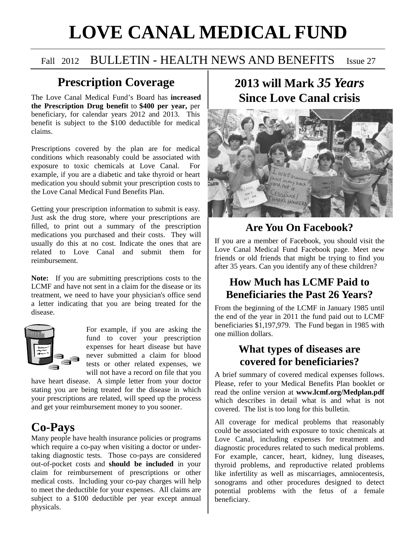# **LOVE CANAL MEDICAL FUND**

## Fall 2012 BULLETIN - HEALTH NEWS AND BENEFITS Issue 27

## **Prescription Coverage**

The Love Canal Medical Fund's Board has **increased the Prescription Drug benefit** to **\$400 per year,** per beneficiary, for calendar years 2012 and 2013. This benefit is subject to the \$100 deductible for medical claims.

Prescriptions covered by the plan are for medical conditions which reasonably could be associated with exposure to toxic chemicals at Love Canal. For example, if you are a diabetic and take thyroid or heart medication you should submit your prescription costs to the Love Canal Medical Fund Benefits Plan.

Getting your prescription information to submit is easy. Just ask the drug store, where your prescriptions are filled, to print out a summary of the prescription medications you purchased and their costs. They will usually do this at no cost. Indicate the ones that are related to Love Canal and submit them for reimbursement.

**Note:** If you are submitting prescriptions costs to the LCMF and have not sent in a claim for the disease or its treatment, we need to have your physician's office send a letter indicating that you are being treated for the disease.



For example, if you are asking the fund to cover your prescription expenses for heart disease but have never submitted a claim for blood tests or other related expenses, we will not have a record on file that you

have heart disease. A simple letter from your doctor stating you are being treated for the disease in which your prescriptions are related, will speed up the process and get your reimbursement money to you sooner.

## **Co-Pays**

Many people have health insurance policies or programs which require a co-pay when visiting a doctor or undertaking diagnostic tests. Those co-pays are considered out-of-pocket costs and **should be included** in your claim for reimbursement of prescriptions or other medical costs. Including your co-pay charges will help to meet the deductible for your expenses. All claims are subject to a \$100 deductible per year except annual physicals.

## **2013 will Mark** *35 Years*  **Since Love Canal crisis**



#### **Are You On Facebook?**

If you are a member of Facebook, you should visit the Love Canal Medical Fund Facebook page. Meet new friends or old friends that might be trying to find you after 35 years. Can you identify any of these children?

### **How Much has LCMF Paid to Beneficiaries the Past 26 Years?**

From the beginning of the LCMF in January 1985 until the end of the year in 2011 the fund paid out to LCMF beneficiaries \$1,197,979. The Fund began in 1985 with one million dollars.

#### **What types of diseases are covered for beneficiaries?**

A brief summary of covered medical expenses follows. Please, refer to your Medical Benefits Plan booklet or read the online version at **www.lcmf.org/Medplan.pdf**  which describes in detail what is and what is not covered. The list is too long for this bulletin.

All coverage for medical problems that reasonably could be associated with exposure to toxic chemicals at Love Canal, including expenses for treatment and diagnostic procedures related to such medical problems. For example, cancer, heart, kidney, lung diseases, thyroid problems, and reproductive related problems like infertility as well as miscarriages, amniocentesis, sonograms and other procedures designed to detect potential problems with the fetus of a female beneficiary.